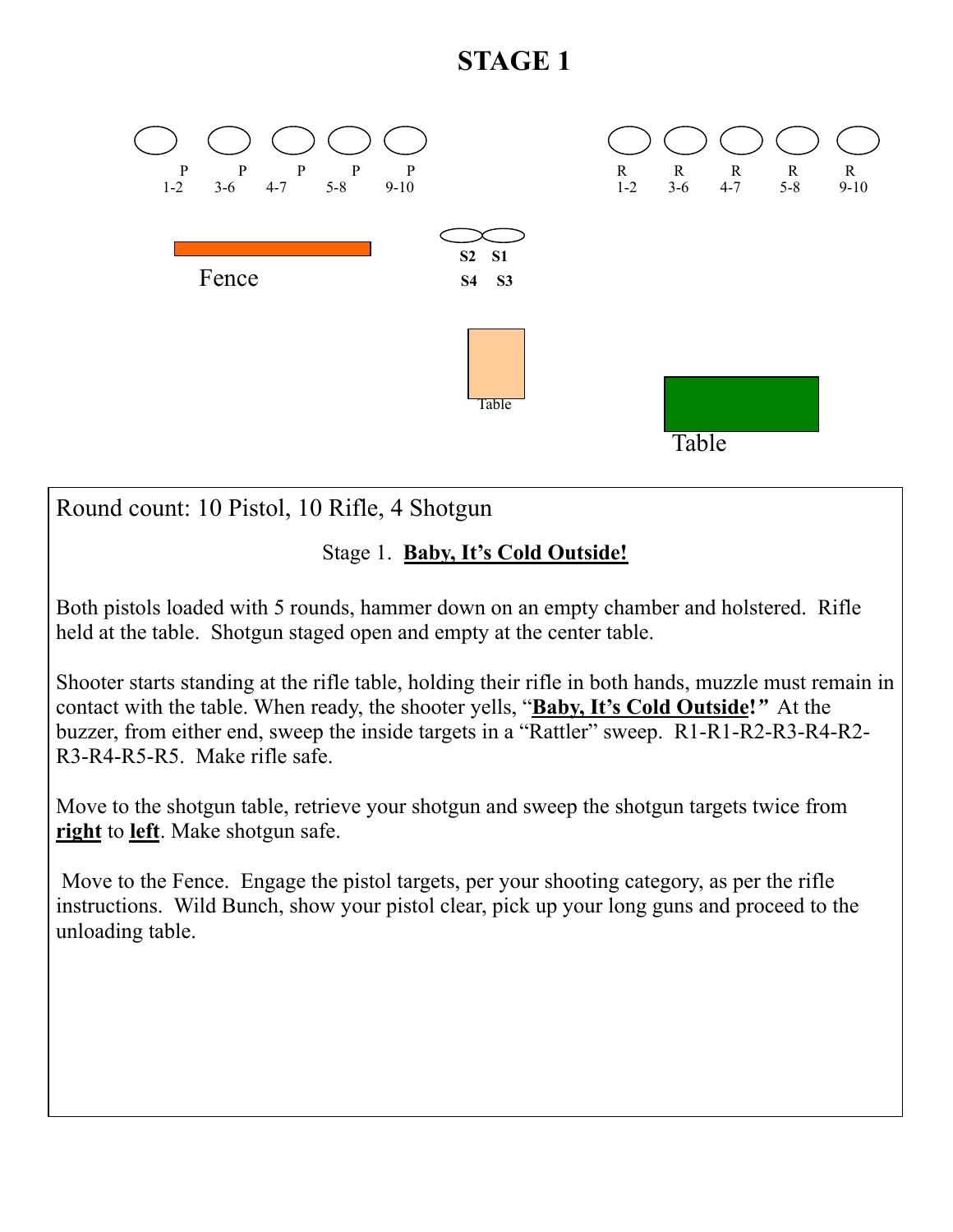# **STAGE 1**



Round count: 10 Pistol, 10 Rifle, 4 Shotgun

### Stage 1. **Baby, It's Cold Outside!**

Both pistols loaded with 5 rounds, hammer down on an empty chamber and holstered. Rifle held at the table. Shotgun staged open and empty at the center table.

Shooter starts standing at the rifle table, holding their rifle in both hands, muzzle must remain in contact with the table. When ready, the shooter yells, "**Baby, It's Cold Outside!***"* At the buzzer, from either end, sweep the inside targets in a "Rattler" sweep. R1-R1-R2-R3-R4-R2- R3-R4-R5-R5. Make rifle safe.

Move to the shotgun table, retrieve your shotgun and sweep the shotgun targets twice from **right** to **left**. Make shotgun safe.

 Move to the Fence. Engage the pistol targets, per your shooting category, as per the rifle instructions. Wild Bunch, show your pistol clear, pick up your long guns and proceed to the unloading table.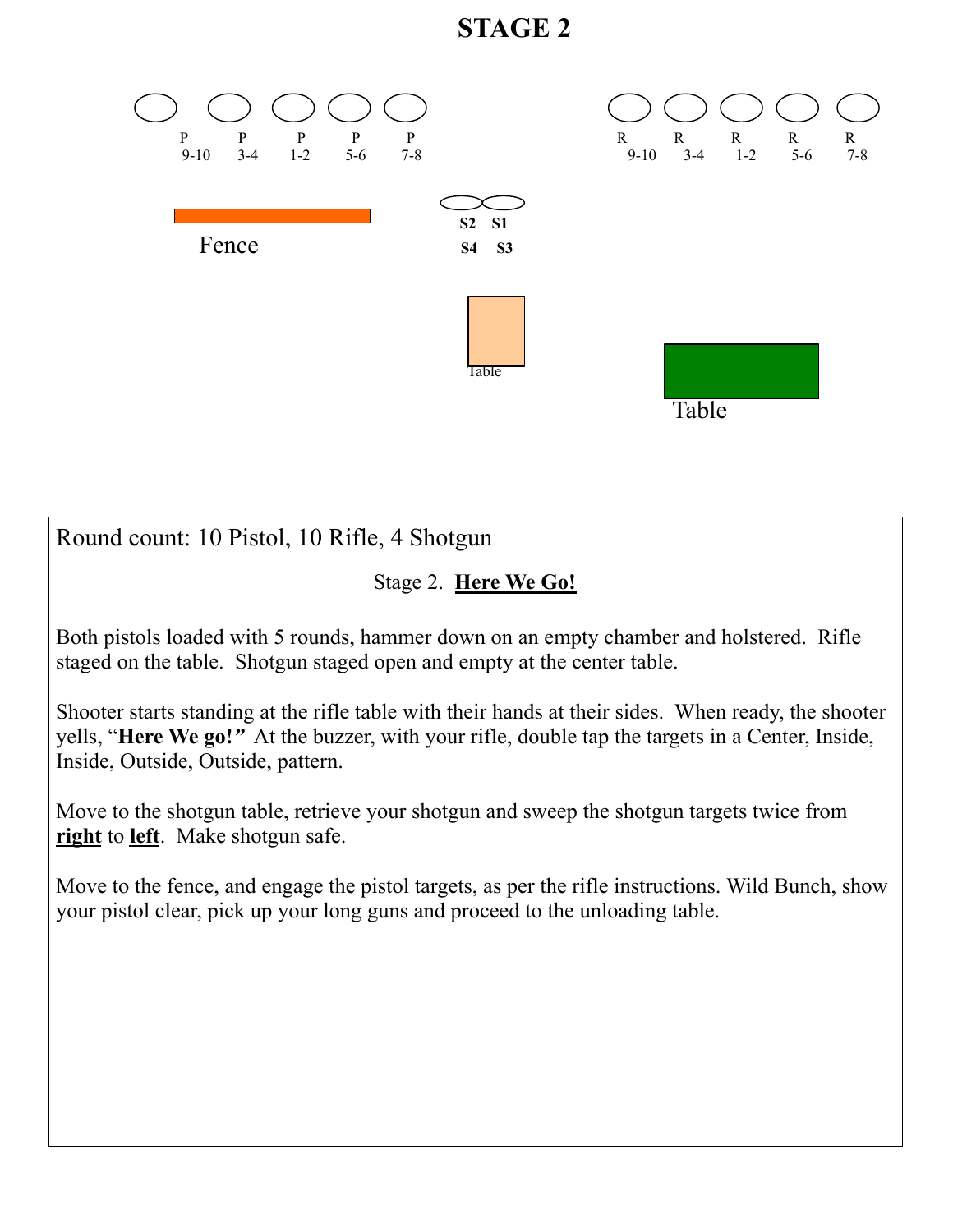# **STAGE 2**



Round count: 10 Pistol, 10 Rifle, 4 Shotgun

#### Stage 2. **Here We Go!**

Both pistols loaded with 5 rounds, hammer down on an empty chamber and holstered. Rifle staged on the table. Shotgun staged open and empty at the center table.

Shooter starts standing at the rifle table with their hands at their sides. When ready, the shooter yells, "**Here We go!***"* At the buzzer, with your rifle, double tap the targets in a Center, Inside, Inside, Outside, Outside, pattern.

Move to the shotgun table, retrieve your shotgun and sweep the shotgun targets twice from **right** to **left**. Make shotgun safe.

Move to the fence, and engage the pistol targets, as per the rifle instructions. Wild Bunch, show your pistol clear, pick up your long guns and proceed to the unloading table.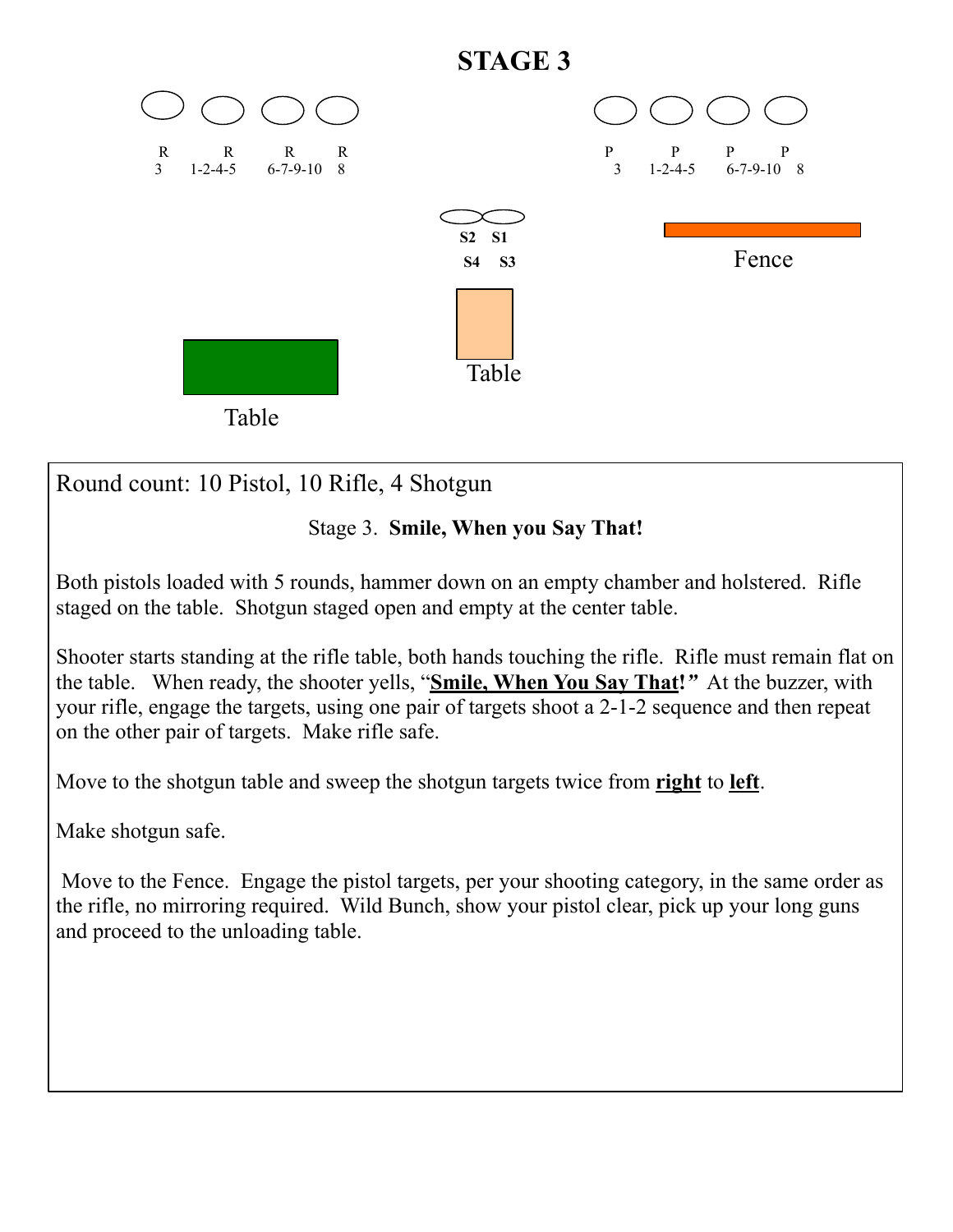

Round count: 10 Pistol, 10 Rifle, 4 Shotgun

## Stage 3. **Smile, When you Say That!**

Both pistols loaded with 5 rounds, hammer down on an empty chamber and holstered. Rifle staged on the table. Shotgun staged open and empty at the center table.

Shooter starts standing at the rifle table, both hands touching the rifle. Rifle must remain flat on the table. When ready, the shooter yells, "**Smile, When You Say That!***"* At the buzzer, with your rifle, engage the targets, using one pair of targets shoot a 2-1-2 sequence and then repeat on the other pair of targets. Make rifle safe.

Move to the shotgun table and sweep the shotgun targets twice from **right** to **left**.

Make shotgun safe.

 Move to the Fence. Engage the pistol targets, per your shooting category, in the same order as the rifle, no mirroring required. Wild Bunch, show your pistol clear, pick up your long guns and proceed to the unloading table.